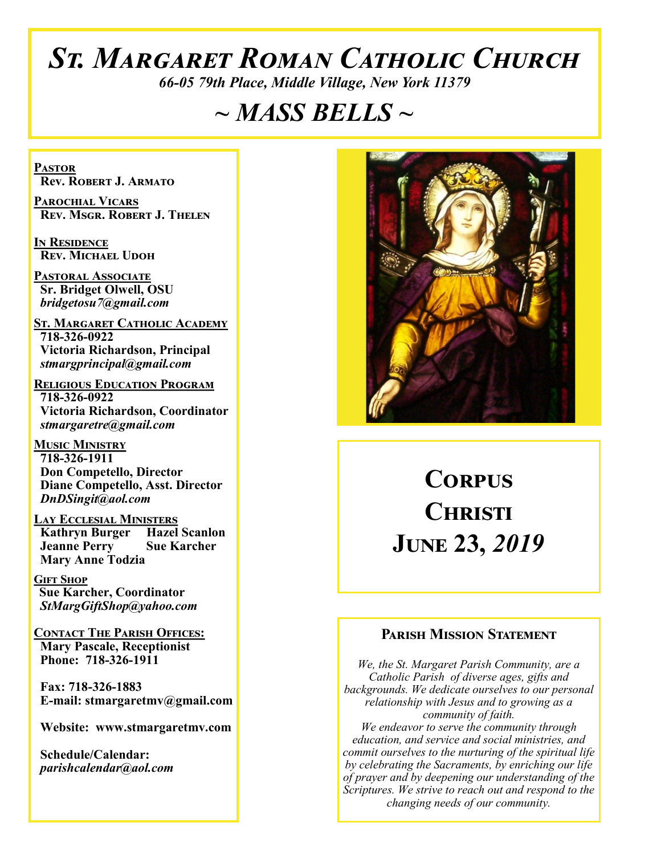# *St. Margaret Roman Catholic Church*

*66-05 79th Place, Middle Village, New York 11379*

# *~ MASS BELLS ~*

**Pastor Rev. Robert J. Armato**

**Parochial Vicars Rev. Msgr. Robert J. Thelen**

**In Residence Rev. Michael Udoh**

**Pastoral Associate Sr. Bridget Olwell, OSU**  *bridgetosu7@gmail.com*

**St. Margaret Catholic Academy 718-326-0922 Victoria Richardson, Principal**  *stmargprincipal@gmail.com*

**Religious Education Program 718-326-0922 Victoria Richardson, Coordinator** *stmargaretre@gmail.com*

**Music Ministry 718-326-1911 Don Competello, Director Diane Competello, Asst. Director** *DnDSingit@aol.com*

**Lay Ecclesial Ministers Kathryn Burger Hazel Scanlon**<br>**Jeanne Perry Sue Karcher Jeanne Perry Mary Anne Todzia**

**Gift Shop Sue Karcher, Coordinator** *StMargGiftShop@yahoo.com*

**Contact The Parish Offices: Mary Pascale, Receptionist Phone: 718-326-1911** 

 **Fax: 718-326-1883 E-mail: stmargaretmv@gmail.com**

 **Website: www.stmargaretmv.com**

 **Schedule/Calendar:** *parishcalendar@aol.com* 



# **Corpus Christi June 23,** *2019*

#### **Parish Mission Statement**

*We, the St. Margaret Parish Community, are a Catholic Parish of diverse ages, gifts and backgrounds. We dedicate ourselves to our personal relationship with Jesus and to growing as a community of faith. We endeavor to serve the community through education, and service and social ministries, and commit ourselves to the nurturing of the spiritual life by celebrating the Sacraments, by enriching our life of prayer and by deepening our understanding of the Scriptures. We strive to reach out and respond to the changing needs of our community.*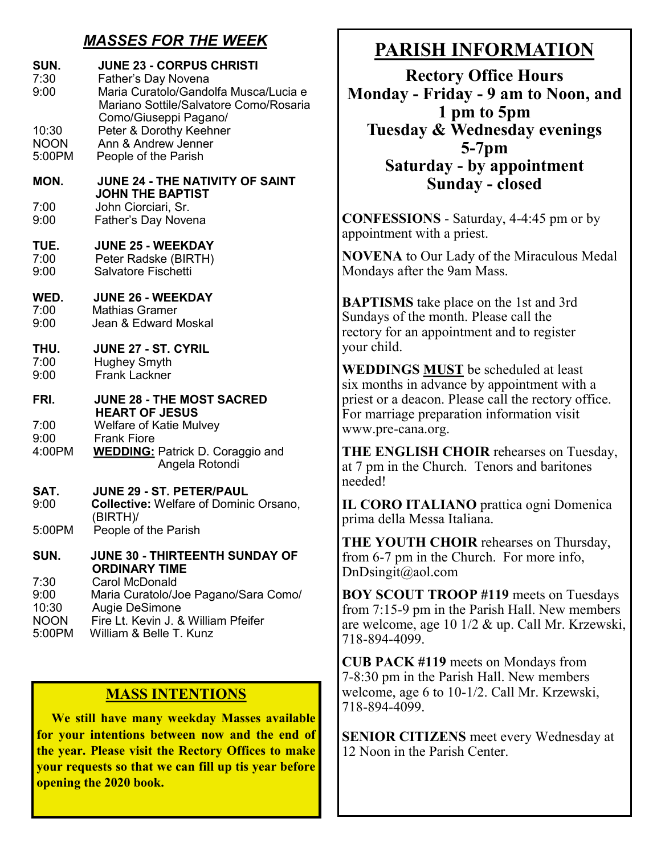### *MASSES FOR THE WEEK*

| SUN.<br>7:30<br>9:00                           | <b>JUNE 23 - CORPUS CHRISTI</b><br>Father's Day Novena<br>Maria Curatolo/Gandolfa Musca/Lucia e<br>Mariano Sottile/Salvatore Como/Rosaria         |  |
|------------------------------------------------|---------------------------------------------------------------------------------------------------------------------------------------------------|--|
| 10:30<br><b>NOON</b><br>5:00PM                 | Como/Giuseppi Pagano/<br>Peter & Dorothy Keehner<br>Ann & Andrew Jenner<br>People of the Parish                                                   |  |
| MON.                                           | <b>JUNE 24 - THE NATIVITY OF SAINT</b><br><b>JOHN THE BAPTIST</b>                                                                                 |  |
| 7:00<br>9:00                                   | John Ciorciari, Sr.<br>Father's Day Novena                                                                                                        |  |
| TUE.<br>7:00<br>9:00                           | <b>JUNE 25 - WEEKDAY</b><br>Peter Radske (BIRTH)<br><b>Salvatore Fischetti</b>                                                                    |  |
| WED.<br>7:00<br>9:00                           | <b>JUNE 26 - WEEKDAY</b><br><b>Mathias Gramer</b><br>Jean & Edward Moskal                                                                         |  |
| THU.<br>7:00<br>9:00                           | <b>JUNE 27 - ST. CYRIL</b><br><b>Hughey Smyth</b><br><b>Frank Lackner</b>                                                                         |  |
| FRI.                                           | <b>JUNE 28 - THE MOST SACRED</b><br><b>HEART OF JESUS</b><br><b>Welfare of Katie Mulvey</b>                                                       |  |
| 7:00                                           |                                                                                                                                                   |  |
| 9:00<br>4:00PM                                 | <b>Frank Fiore</b><br><b>WEDDING: Patrick D. Coraggio and</b><br>Angela Rotondi                                                                   |  |
| SAT.                                           | <b>JUNE 29 - ST. PETER/PAUL</b>                                                                                                                   |  |
| 9:00                                           | <b>Collective: Welfare of Dominic Orsano,</b><br>(BIRTH)/                                                                                         |  |
| 5:00PM                                         | People of the Parish                                                                                                                              |  |
| SUN.                                           | JUNE 30 - THIRTEENTH SUNDAY OF<br><b>ORDINARY TIME</b>                                                                                            |  |
| 7:30<br>9:00<br>10:30<br><b>NOON</b><br>5:00PM | <b>Carol McDonald</b><br>Maria Curatolo/Joe Pagano/Sara Como/<br>Augie DeSimone<br>Fire Lt. Kevin J. & William Pfeifer<br>William & Belle T. Kunz |  |

### **MASS INTENTIONS**

 **We still have many weekday Masses available for your intentions between now and the end of the year. Please visit the Rectory Offices to make your requests so that we can fill up tis year before opening the 2020 book.**

# **PARISH INFORMATION**

**Rectory Office Hours Monday - Friday - 9 am to Noon, and 1 pm to 5pm Tuesday & Wednesday evenings 5-7pm Saturday - by appointment Sunday - closed**

**CONFESSIONS** - Saturday, 4-4:45 pm or by appointment with a priest.

**NOVENA** to Our Lady of the Miraculous Medal Mondays after the 9am Mass.

**BAPTISMS** take place on the 1st and 3rd Sundays of the month. Please call the rectory for an appointment and to register your child.

**WEDDINGS MUST** be scheduled at least six months in advance by appointment with a priest or a deacon. Please call the rectory office. For marriage preparation information visit www.pre-cana.org.

**THE ENGLISH CHOIR** rehearses on Tuesday, at 7 pm in the Church. Tenors and baritones needed!

**IL CORO ITALIANO** prattica ogni Domenica prima della Messa Italiana.

**THE YOUTH CHOIR** rehearses on Thursday, from 6-7 pm in the Church. For more info, DnDsingit@aol.com

**BOY SCOUT TROOP #119** meets on Tuesdays from 7:15-9 pm in the Parish Hall. New members are welcome, age 10 1/2 & up. Call Mr. Krzewski, 718-894-4099.

**CUB PACK #119** meets on Mondays from 7-8:30 pm in the Parish Hall. New members welcome, age 6 to 10-1/2. Call Mr. Krzewski, 718-894-4099.

**SENIOR CITIZENS** meet every Wednesday at 12 Noon in the Parish Center.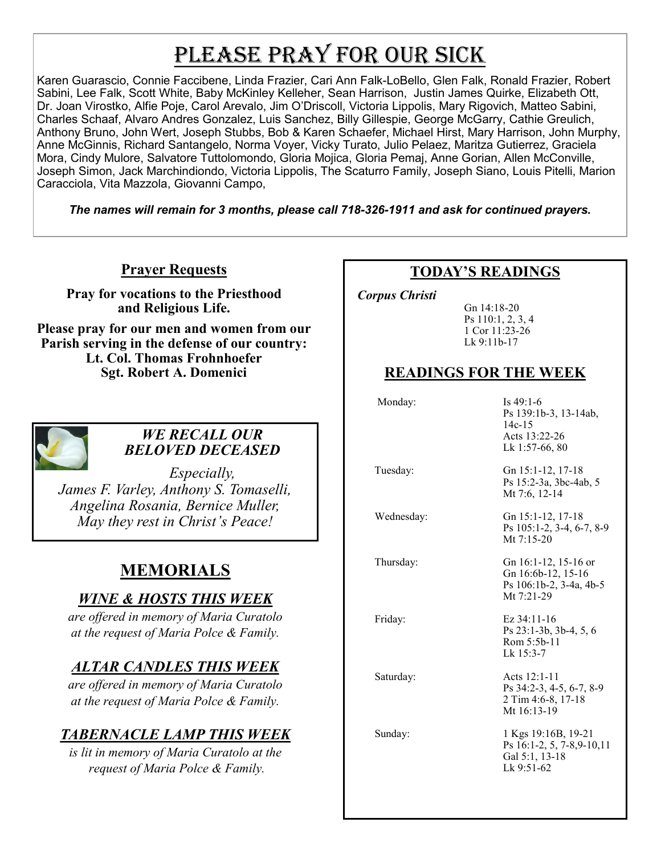# PLEASE PRAY FOR OUR SICK

Karen Guarascio, Connie Faccibene, Linda Frazier, Cari Ann Falk-LoBello, Glen Falk, Ronald Frazier, Robert Sabini, Lee Falk, Scott White, Baby McKinley Kelleher, Sean Harrison, Justin James Quirke, Elizabeth Ott, Dr. Joan Virostko, Alfie Poje, Carol Arevalo, Jim O'Driscoll, Victoria Lippolis, Mary Rigovich, Matteo Sabini, Charles Schaaf, Alvaro Andres Gonzalez, Luis Sanchez, Billy Gillespie, George McGarry, Cathie Greulich, Anthony Bruno, John Wert, Joseph Stubbs, Bob & Karen Schaefer, Michael Hirst, Mary Harrison, John Murphy, Anne McGinnis, Richard Santangelo, Norma Voyer, Vicky Turato, Julio Pelaez, Maritza Gutierrez, Graciela Mora, Cindy Mulore, Salvatore Tuttolomondo, Gloria Mojica, Gloria Pemaj, Anne Gorian, Allen McConville, Joseph Simon, Jack Marchindiondo, Victoria Lippolis, The Scaturro Family, Joseph Siano, Louis Pitelli, Marion Caracciola, Vita Mazzola, Giovanni Campo,

*The names will remain for 3 months, please call 718-326-1911 and ask for continued prayers.*

### **Prayer Requests**

**Pray for vocations to the Priesthood and Religious Life.** 

**Please pray for our men and women from our Parish serving in the defense of our country: Lt. Col. Thomas Frohnhoefer Sgt. Robert A. Domenici** 



#### *WE RECALL OUR BELOVED DECEASED*

*Especially, James F. Varley, Anthony S. Tomaselli, Angelina Rosania, Bernice Muller, May they rest in Christ's Peace!*

# **MEMORIALS**

### *WINE & HOSTS THIS WEEK*

*are offered in memory of Maria Curatolo at the request of Maria Polce & Family.* 

### *ALTAR CANDLES THIS WEEK*

*are offered in memory of Maria Curatolo at the request of Maria Polce & Family.*

## *TABERNACLE LAMP THIS WEEK*

*is lit in memory of Maria Curatolo at the request of Maria Polce & Family.*

### **TODAY'S READINGS**

 *Corpus Christi* 

Gn 14:18-20 Ps 110:1, 2, 3, 4 1 Cor 11:23-26 Lk 9:11b-17

## **READINGS FOR THE WEEK**

Monday: Is 49:1-6

|            | Ps 139:1b-3, 13-14ab,<br>$14c-15$<br>Acts 13:22-26<br>Lk 1:57-66, 80                |
|------------|-------------------------------------------------------------------------------------|
| Tuesday:   | Gn 15:1-12, 17-18<br>Ps 15:2-3a, 3bc-4ab, 5<br>Mt 7:6, 12-14                        |
| Wednesday: | Gn 15:1-12, 17-18<br>Ps 105:1-2, 3-4, 6-7, 8-9<br>Mt $7:15-20$                      |
| Thursday:  | Gn 16:1-12, 15-16 or<br>Gn 16:6b-12, 15-16<br>Ps 106:1b-2, 3-4a, 4b-5<br>Mt 7:21-29 |
| Friday:    | Ez 34:11-16<br>Ps 23:1-3b, 3b-4, 5, 6<br>Rom 5:5b-11<br>Lk 15:3-7                   |
| Saturday:  | Acts 12:1-11<br>Ps 34:2-3, 4-5, 6-7, 8-9<br>2 Tim 4:6-8, 17-18<br>Mt 16:13-19       |
| Sunday:    | 1 Kgs 19:16B, 19-21<br>Ps 16:1-2, 5, 7-8, 9-10, 11<br>Gal 5:1, 13-18<br>Lk 9:51-62  |
|            |                                                                                     |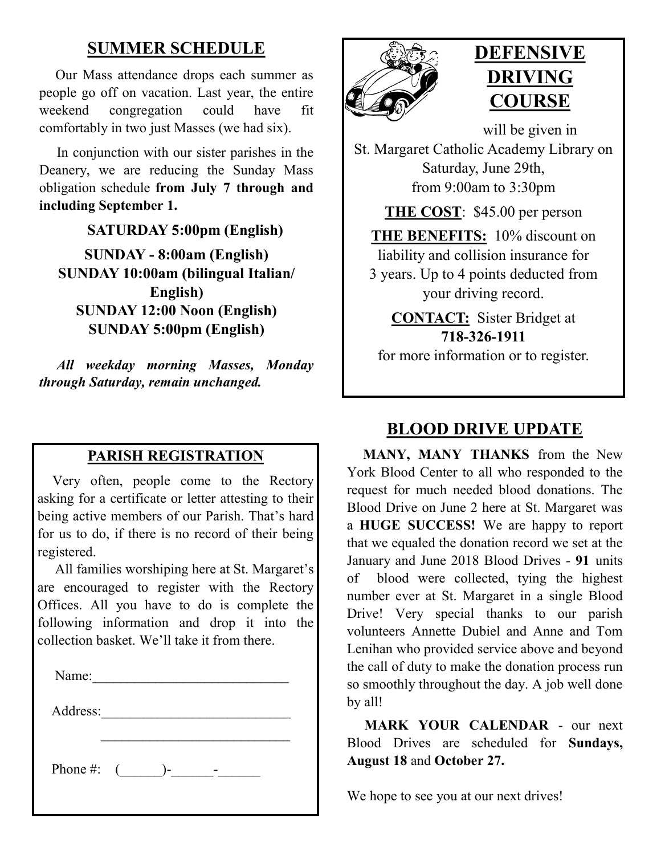# **SUMMER SCHEDULE**

 Our Mass attendance drops each summer as people go off on vacation. Last year, the entire weekend congregation could have fit comfortably in two just Masses (we had six).

 In conjunction with our sister parishes in the Deanery, we are reducing the Sunday Mass obligation schedule **from July 7 through and including September 1.**

# **SATURDAY 5:00pm (English)**

**SUNDAY - 8:00am (English) SUNDAY 10:00am (bilingual Italian/ English) SUNDAY 12:00 Noon (English) SUNDAY 5:00pm (English)**

*All weekday morning Masses, Monday through Saturday, remain unchanged.*

# **PARISH REGISTRATION**

 Very often, people come to the Rectory asking for a certificate or letter attesting to their being active members of our Parish. That's hard for us to do, if there is no record of their being registered.

 All families worshiping here at St. Margaret's are encouraged to register with the Rectory Offices. All you have to do is complete the following information and drop it into the collection basket. We'll take it from there.

 $\mathcal{L}_\text{max}$ 

| $\sim$<br>N<br>me:<br>ıЯ<br>- |
|-------------------------------|
|-------------------------------|

Address:

Phone #:  $(\_\_\_\$ - $\_\_\_$ -



# **DEFENSIVE DRIVING COURSE**

will be given in St. Margaret Catholic Academy Library on Saturday, June 29th, from 9:00am to 3:30pm

**THE COST**: \$45.00 per person

**THE BENEFITS:** 10% discount on liability and collision insurance for 3 years. Up to 4 points deducted from your driving record.

**CONTACT:** Sister Bridget at **718-326-1911**

for more information or to register.

## **BLOOD DRIVE UPDATE**

 **MANY, MANY THANKS** from the New York Blood Center to all who responded to the request for much needed blood donations. The Blood Drive on June 2 here at St. Margaret was a **HUGE SUCCESS!** We are happy to report that we equaled the donation record we set at the January and June 2018 Blood Drives - **91** units of blood were collected, tying the highest number ever at St. Margaret in a single Blood Drive! Very special thanks to our parish volunteers Annette Dubiel and Anne and Tom Lenihan who provided service above and beyond the call of duty to make the donation process run so smoothly throughout the day. A job well done by all!

 **MARK YOUR CALENDAR** - our next Blood Drives are scheduled for **Sundays, August 18** and **October 27.**

We hope to see you at our next drives!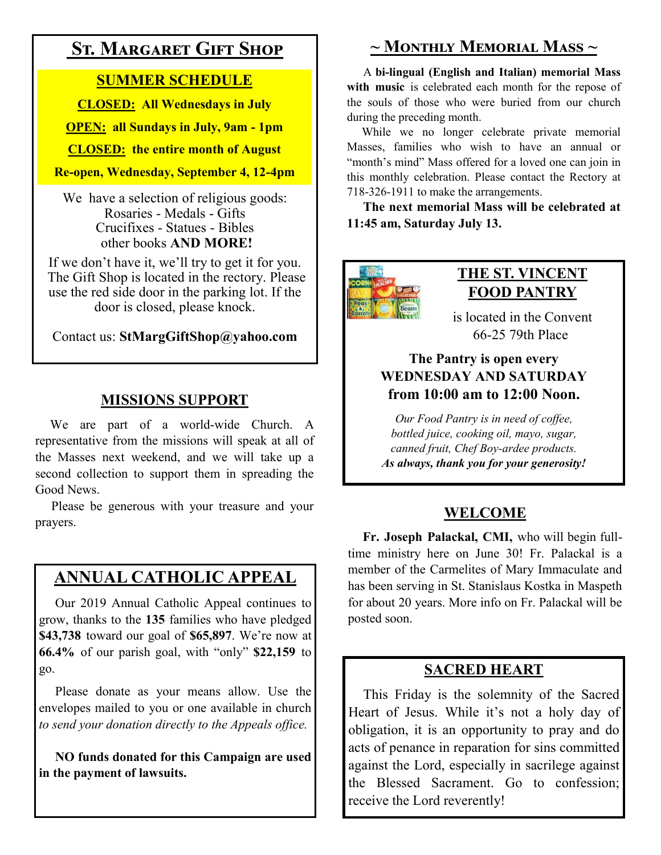# **St. Margaret Gift Shop**

### **SUMMER SCHEDULE**

**CLOSED: All Wednesdays in July**

**OPEN: all Sundays in July, 9am - 1pm**

**CLOSED: the entire month of August**

#### **Re-open, Wednesday, September 4, 12-4pm**

We have a selection of religious goods: Rosaries - Medals - Gifts Crucifixes - Statues - Bibles other books **AND MORE!**

If we don't have it, we'll try to get it for you. The Gift Shop is located in the rectory. Please use the red side door in the parking lot. If the door is closed, please knock.

Contact us: **StMargGiftShop@yahoo.com**

## **MISSIONS SUPPORT**

 We are part of a world-wide Church. A representative from the missions will speak at all of the Masses next weekend, and we will take up a second collection to support them in spreading the Good News.

 Please be generous with your treasure and your prayers.

# **ANNUAL CATHOLIC APPEAL**

 Our 2019 Annual Catholic Appeal continues to grow, thanks to the **135** families who have pledged **\$43,738** toward our goal of **\$65,897**. We're now at **66.4%** of our parish goal, with "only" **\$22,159** to go.

 Please donate as your means allow. Use the envelopes mailed to you or one available in church *to send your donation directly to the Appeals office.*

**NO funds donated for this Campaign are used in the payment of lawsuits.**

# **~ Monthly Memorial Mass ~**

 A **bi-lingual (English and Italian) memorial Mass with music** is celebrated each month for the repose of the souls of those who were buried from our church during the preceding month.

 While we no longer celebrate private memorial Masses, families who wish to have an annual or "month's mind" Mass offered for a loved one can join in this monthly celebration. Please contact the Rectory at 718-326-1911 to make the arrangements.

 **The next memorial Mass will be celebrated at 11:45 am, Saturday July 13.** 



### **THE ST. VINCENT FOOD PANTRY**

is located in the Convent 66-25 79th Place

### **The Pantry is open every WEDNESDAY AND SATURDAY from 10:00 am to 12:00 Noon.**

*Our Food Pantry is in need of coffee, bottled juice, cooking oil, mayo, sugar, canned fruit, Chef Boy-ardee products. As always, thank you for your generosity!*

## **WELCOME**

 **Fr. Joseph Palackal, CMI,** who will begin fulltime ministry here on June 30! Fr. Palackal is a member of the Carmelites of Mary Immaculate and has been serving in St. Stanislaus Kostka in Maspeth for about 20 years. More info on Fr. Palackal will be posted soon.

## **SACRED HEART**

 This Friday is the solemnity of the Sacred Heart of Jesus. While it's not a holy day of obligation, it is an opportunity to pray and do acts of penance in reparation for sins committed against the Lord, especially in sacrilege against the Blessed Sacrament. Go to confession; receive the Lord reverently!